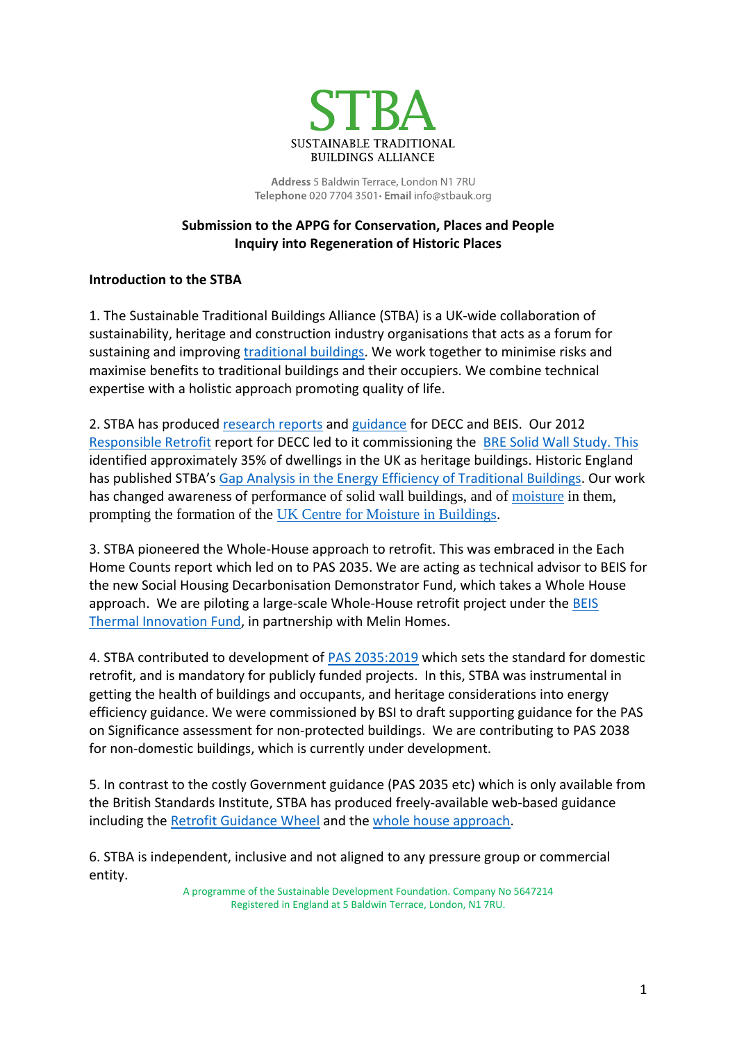

Address 5 Baldwin Terrace, London N1 7RU Telephone 020 7704 3501 · Email info@stbauk.org

# **Submission to the APPG for Conservation, Places and People Inquiry into Regeneration of Historic Places**

# **Introduction to the STBA**

1. The Sustainable Traditional Buildings Alliance (STBA) is a UK-wide collaboration of sustainability, heritage and construction industry organisations that acts as a forum for sustaining and improving [traditional buildings.](http://stbauk.org/) We work together to minimise risks and maximise benefits to traditional buildings and their occupiers. We combine technical expertise with a holistic approach promoting quality of life.

2. STBA has produced [research reports](http://stbauk.org/stba-guidance-research-papers) and [guidance](http://stbauk.org/resources) for DECC and BEIS. Our 2012 [Responsible Retrofit](http://www.sdfoundation.org.uk/downloads/RESPONSIBLE-RETROFIT_FINAL_20_SEPT_2012.pdf) report for DECC led to it commissioning the [BRE Solid Wall Study.](https://www.gov.uk/government/publications/solid-wall-heat-losses-and-the-potential-for-energy-savings-literature-review) This identified approximately 35% of dwellings in the UK as heritage buildings. Historic England has published STBA's [Gap Analysis in the Energy Efficiency of Traditional Buildings.](https://research.historicengland.org.uk/Report.aspx?i=16746&ru=%2fResults.aspx%3fp%3d1%26n%3d10%26rn%3d210%26ry%3d2020%26ns%3d1) Our work has changed awareness of performance of solid wall buildings, and of [moisture](https://sdfoundation.org.uk/downloads/BSI-White-Paper-Moisture-In-Buildings.PDF) in them, prompting the formation of the [UK Centre for Moisture in Buildings.](https://ukcmb.org/)

3. STBA pioneered the Whole-House approach to retrofit. This was embraced in the Each Home Counts report which led on to PAS 2035. We are acting as technical advisor to BEIS for the new Social Housing Decarbonisation Demonstrator Fund, which takes a Whole House approach. We are piloting a large-scale Whole-House retrofit project under the [BEIS](https://assets.publishing.service.gov.uk/government/uploads/system/uploads/attachment_data/file/825631/BEIS_Thermal_Efficiency_Innovation_Fund___summary_project_details.pdf)  [Thermal Innovation Fund,](https://assets.publishing.service.gov.uk/government/uploads/system/uploads/attachment_data/file/825631/BEIS_Thermal_Efficiency_Innovation_Fund___summary_project_details.pdf) in partnership with Melin Homes.

4. STBA contributed to development of [PAS 2035:2019](https://shop.bsigroup.com/ProductDetail/?pid=000000000030400875) which sets the standard for domestic retrofit, and is mandatory for publicly funded projects. In this, STBA was instrumental in getting the health of buildings and occupants, and heritage considerations into energy efficiency guidance. We were commissioned by BSI to draft supporting guidance for the PAS on Significance assessment for non-protected buildings. We are contributing to PAS 2038 for non-domestic buildings, which is currently under development.

5. In contrast to the costly Government guidance (PAS 2035 etc) which is only available from the British Standards Institute, STBA has produced freely-available web-based guidance including the [Retrofit Guidance Wheel](http://responsible-retrofit.org/wheel/) and the [whole house approach.](https://stbauk.org/whole-house-approach/)

6. STBA is independent, inclusive and not aligned to any pressure group or commercial entity.

A programme of the Sustainable Development Foundation. Company No 5647214 Registered in England at 5 Baldwin Terrace, London, N1 7RU.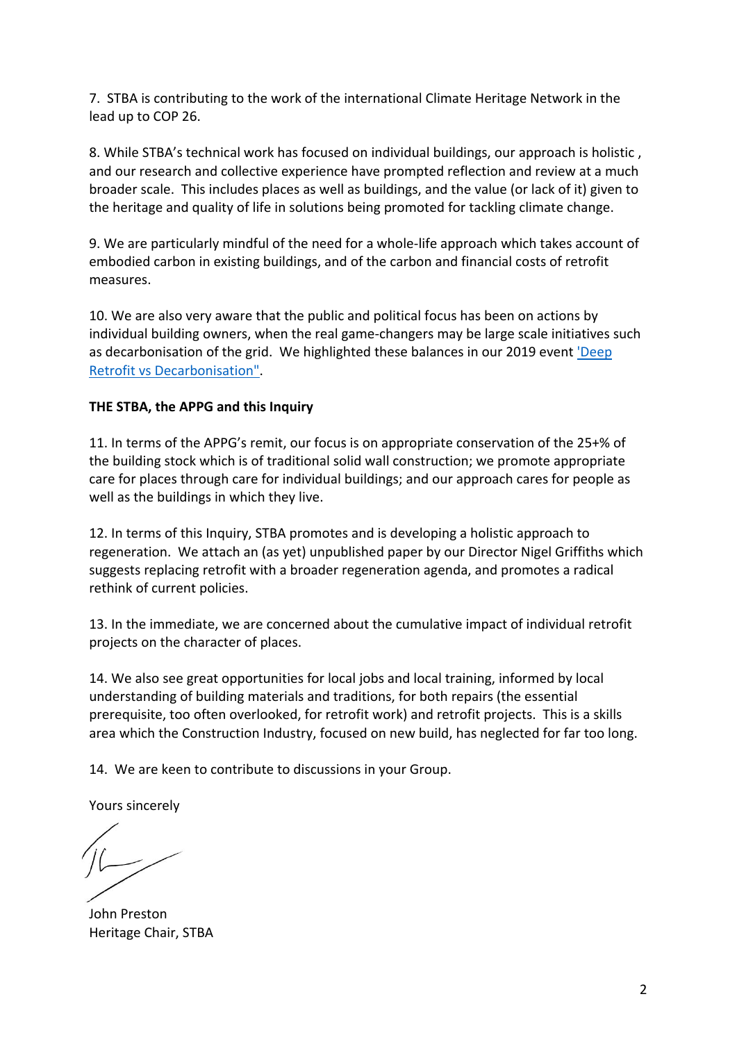7. STBA is contributing to the work of the international Climate Heritage Network in the lead up to COP 26.

8. While STBA's technical work has focused on individual buildings, our approach is holistic , and our research and collective experience have prompted reflection and review at a much broader scale. This includes places as well as buildings, and the value (or lack of it) given to the heritage and quality of life in solutions being promoted for tackling climate change.

9. We are particularly mindful of the need for a whole-life approach which takes account of embodied carbon in existing buildings, and of the carbon and financial costs of retrofit measures.

10. We are also very aware that the public and political focus has been on actions by individual building owners, when the real game-changers may be large scale initiatives such as decarbonisation of the grid. We highlighted these balances in our 2019 event ['Deep](https://stbauk.org/articles-and-presentations/)  [Retrofit vs Decarbonisation".](https://stbauk.org/articles-and-presentations/)

### **THE STBA, the APPG and this Inquiry**

11. In terms of the APPG's remit, our focus is on appropriate conservation of the 25+% of the building stock which is of traditional solid wall construction; we promote appropriate care for places through care for individual buildings; and our approach cares for people as well as the buildings in which they live.

12. In terms of this Inquiry, STBA promotes and is developing a holistic approach to regeneration. We attach an (as yet) unpublished paper by our Director Nigel Griffiths which suggests replacing retrofit with a broader regeneration agenda, and promotes a radical rethink of current policies.

13. In the immediate, we are concerned about the cumulative impact of individual retrofit projects on the character of places.

14. We also see great opportunities for local jobs and local training, informed by local understanding of building materials and traditions, for both repairs (the essential prerequisite, too often overlooked, for retrofit work) and retrofit projects. This is a skills area which the Construction Industry, focused on new build, has neglected for far too long.

14. We are keen to contribute to discussions in your Group.

Yours sincerely

John Preston Heritage Chair, STBA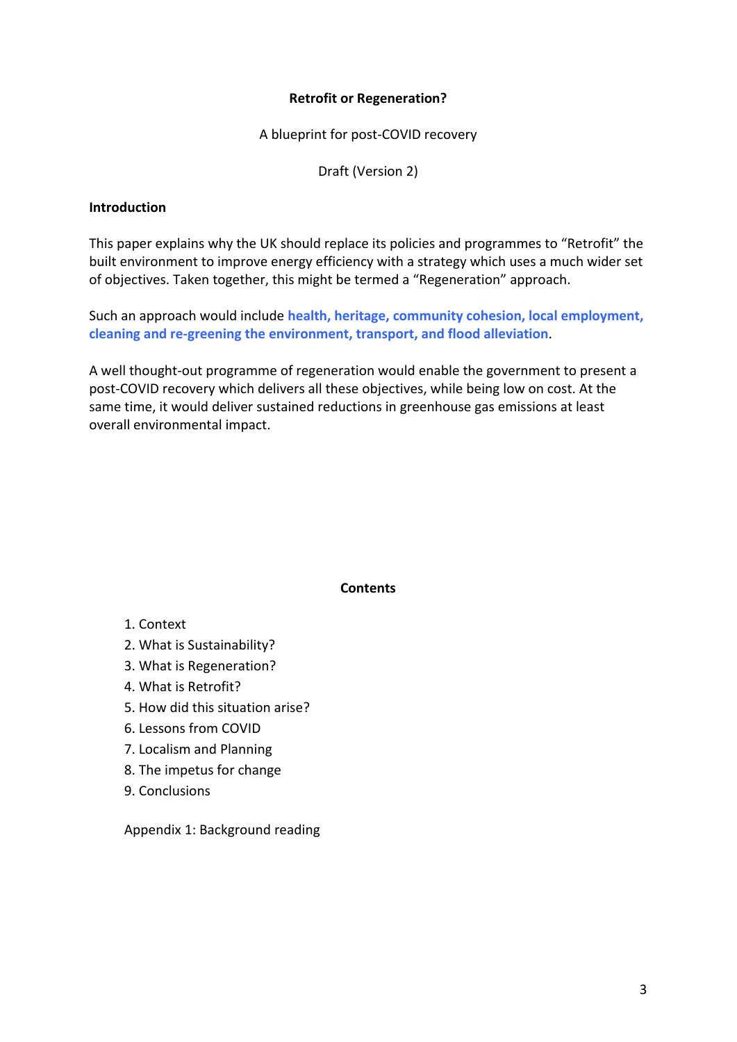#### **Retrofit or Regeneration?**

A blueprint for post-COVID recovery

Draft (Version 2)

#### **Introduction**

This paper explains why the UK should replace its policies and programmes to "Retrofit" the built environment to improve energy efficiency with a strategy which uses a much wider set of objectives. Taken together, this might be termed a "Regeneration" approach.

Such an approach would include **health, heritage, community cohesion, local employment, cleaning and re-greening the environment, transport, and flood alleviation**.

A well thought-out programme of regeneration would enable the government to present a post-COVID recovery which delivers all these objectives, while being low on cost. At the same time, it would deliver sustained reductions in greenhouse gas emissions at least overall environmental impact.

#### **Contents**

- 1. Context
- 2. What is Sustainability?
- 3. What is Regeneration?
- 4. What is Retrofit?
- 5. How did this situation arise?
- 6. Lessons from COVID
- 7. Localism and Planning
- 8. The impetus for change
- 9. Conclusions

Appendix 1: Background reading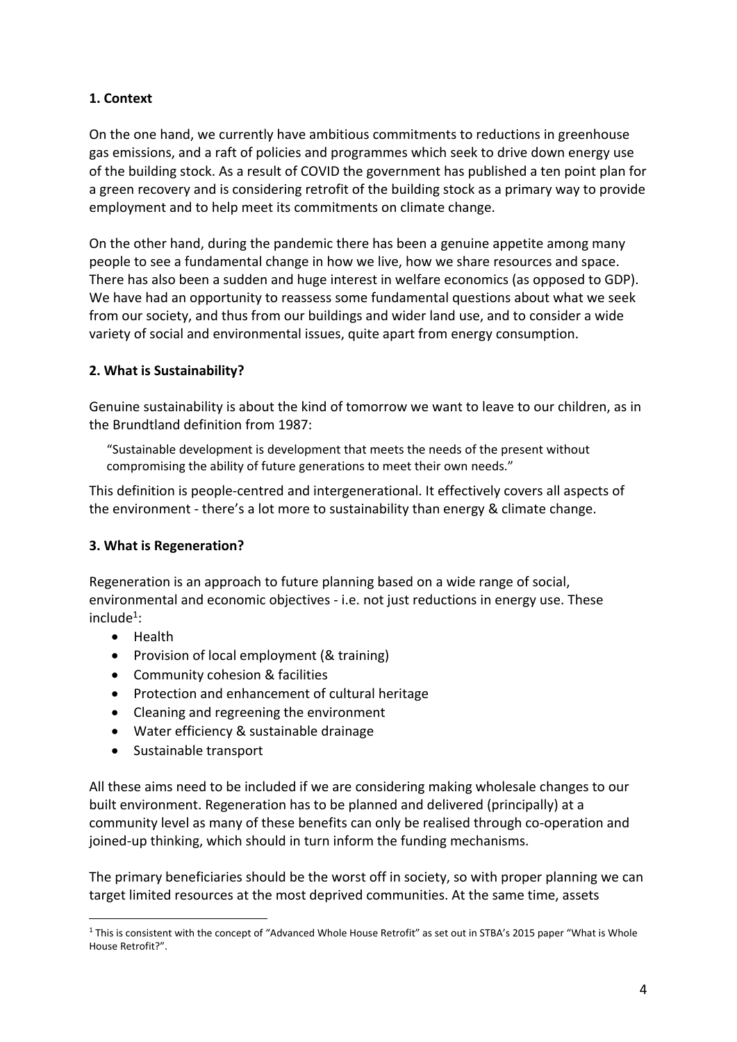# **1. Context**

On the one hand, we currently have ambitious commitments to reductions in greenhouse gas emissions, and a raft of policies and programmes which seek to drive down energy use of the building stock. As a result of COVID the government has published a ten point plan for a green recovery and is considering retrofit of the building stock as a primary way to provide employment and to help meet its commitments on climate change.

On the other hand, during the pandemic there has been a genuine appetite among many people to see a fundamental change in how we live, how we share resources and space. There has also been a sudden and huge interest in welfare economics (as opposed to GDP). We have had an opportunity to reassess some fundamental questions about what we seek from our society, and thus from our buildings and wider land use, and to consider a wide variety of social and environmental issues, quite apart from energy consumption.

# **2. What is Sustainability?**

Genuine sustainability is about the kind of tomorrow we want to leave to our children, as in the Brundtland definition from 1987:

"Sustainable development is development that meets the needs of the present without compromising the ability of future generations to meet their own needs."

This definition is people-centred and intergenerational. It effectively covers all aspects of the environment - there's a lot more to sustainability than energy & climate change.

# **3. What is Regeneration?**

Regeneration is an approach to future planning based on a wide range of social, environmental and economic objectives - i.e. not just reductions in energy use. These include<sup>1</sup>:

- Health
- Provision of local employment (& training)
- Community cohesion & facilities
- Protection and enhancement of cultural heritage
- Cleaning and regreening the environment
- Water efficiency & sustainable drainage
- Sustainable transport

All these aims need to be included if we are considering making wholesale changes to our built environment. Regeneration has to be planned and delivered (principally) at a community level as many of these benefits can only be realised through co-operation and joined-up thinking, which should in turn inform the funding mechanisms.

The primary beneficiaries should be the worst off in society, so with proper planning we can target limited resources at the most deprived communities. At the same time, assets

 $1$  This is consistent with the concept of "Advanced Whole House Retrofit" as set out in STBA's 2015 paper "What is Whole House Retrofit?".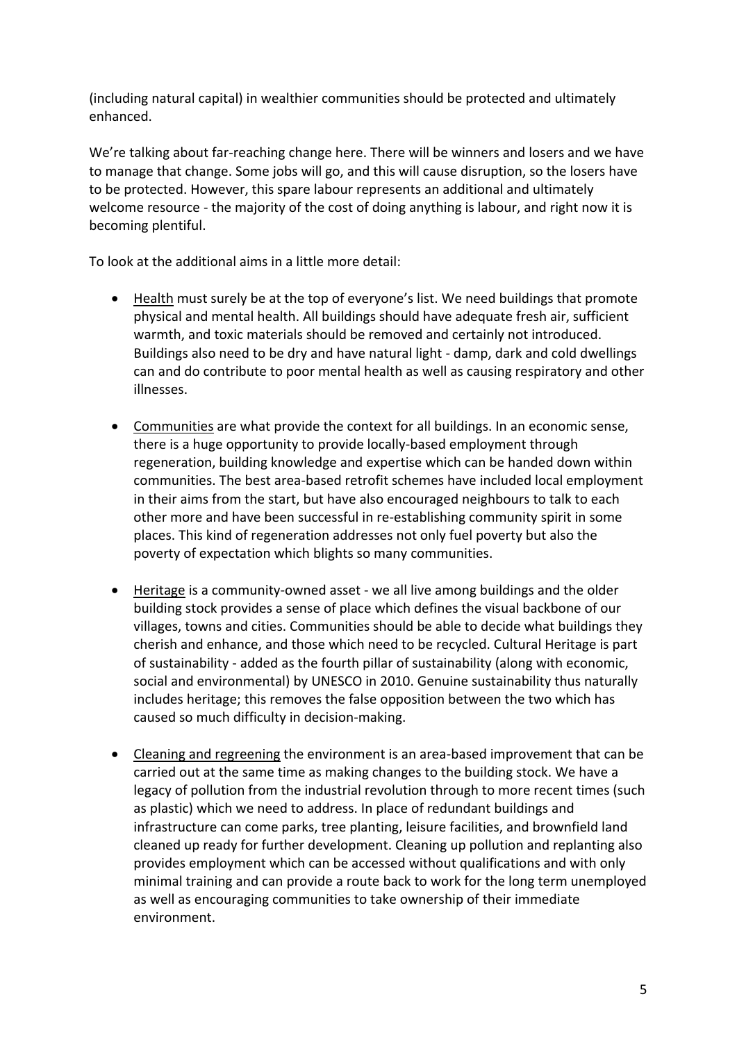(including natural capital) in wealthier communities should be protected and ultimately enhanced.

We're talking about far-reaching change here. There will be winners and losers and we have to manage that change. Some jobs will go, and this will cause disruption, so the losers have to be protected. However, this spare labour represents an additional and ultimately welcome resource - the majority of the cost of doing anything is labour, and right now it is becoming plentiful.

To look at the additional aims in a little more detail:

- Health must surely be at the top of everyone's list. We need buildings that promote physical and mental health. All buildings should have adequate fresh air, sufficient warmth, and toxic materials should be removed and certainly not introduced. Buildings also need to be dry and have natural light - damp, dark and cold dwellings can and do contribute to poor mental health as well as causing respiratory and other illnesses.
- Communities are what provide the context for all buildings. In an economic sense, there is a huge opportunity to provide locally-based employment through regeneration, building knowledge and expertise which can be handed down within communities. The best area-based retrofit schemes have included local employment in their aims from the start, but have also encouraged neighbours to talk to each other more and have been successful in re-establishing community spirit in some places. This kind of regeneration addresses not only fuel poverty but also the poverty of expectation which blights so many communities.
- Heritage is a community-owned asset we all live among buildings and the older building stock provides a sense of place which defines the visual backbone of our villages, towns and cities. Communities should be able to decide what buildings they cherish and enhance, and those which need to be recycled. Cultural Heritage is part of sustainability - added as the fourth pillar of sustainability (along with economic, social and environmental) by UNESCO in 2010. Genuine sustainability thus naturally includes heritage; this removes the false opposition between the two which has caused so much difficulty in decision-making.
- Cleaning and regreening the environment is an area-based improvement that can be carried out at the same time as making changes to the building stock. We have a legacy of pollution from the industrial revolution through to more recent times (such as plastic) which we need to address. In place of redundant buildings and infrastructure can come parks, tree planting, leisure facilities, and brownfield land cleaned up ready for further development. Cleaning up pollution and replanting also provides employment which can be accessed without qualifications and with only minimal training and can provide a route back to work for the long term unemployed as well as encouraging communities to take ownership of their immediate environment.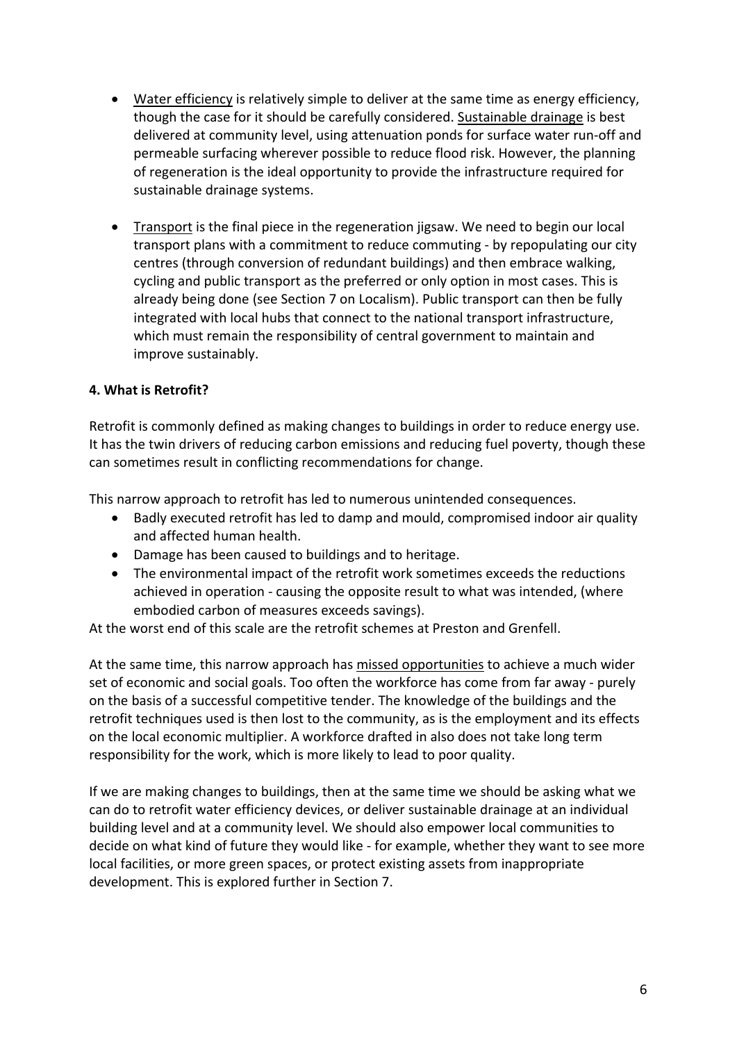- Water efficiency is relatively simple to deliver at the same time as energy efficiency, though the case for it should be carefully considered. Sustainable drainage is best delivered at community level, using attenuation ponds for surface water run-off and permeable surfacing wherever possible to reduce flood risk. However, the planning of regeneration is the ideal opportunity to provide the infrastructure required for sustainable drainage systems.
- Transport is the final piece in the regeneration jigsaw. We need to begin our local transport plans with a commitment to reduce commuting - by repopulating our city centres (through conversion of redundant buildings) and then embrace walking, cycling and public transport as the preferred or only option in most cases. This is already being done (see Section 7 on Localism). Public transport can then be fully integrated with local hubs that connect to the national transport infrastructure, which must remain the responsibility of central government to maintain and improve sustainably.

### **4. What is Retrofit?**

Retrofit is commonly defined as making changes to buildings in order to reduce energy use. It has the twin drivers of reducing carbon emissions and reducing fuel poverty, though these can sometimes result in conflicting recommendations for change.

This narrow approach to retrofit has led to numerous unintended consequences.

- Badly executed retrofit has led to damp and mould, compromised indoor air quality and affected human health.
- Damage has been caused to buildings and to heritage.
- The environmental impact of the retrofit work sometimes exceeds the reductions achieved in operation - causing the opposite result to what was intended, (where embodied carbon of measures exceeds savings).

At the worst end of this scale are the retrofit schemes at Preston and Grenfell.

At the same time, this narrow approach has missed opportunities to achieve a much wider set of economic and social goals. Too often the workforce has come from far away - purely on the basis of a successful competitive tender. The knowledge of the buildings and the retrofit techniques used is then lost to the community, as is the employment and its effects on the local economic multiplier. A workforce drafted in also does not take long term responsibility for the work, which is more likely to lead to poor quality.

If we are making changes to buildings, then at the same time we should be asking what we can do to retrofit water efficiency devices, or deliver sustainable drainage at an individual building level and at a community level. We should also empower local communities to decide on what kind of future they would like - for example, whether they want to see more local facilities, or more green spaces, or protect existing assets from inappropriate development. This is explored further in Section 7.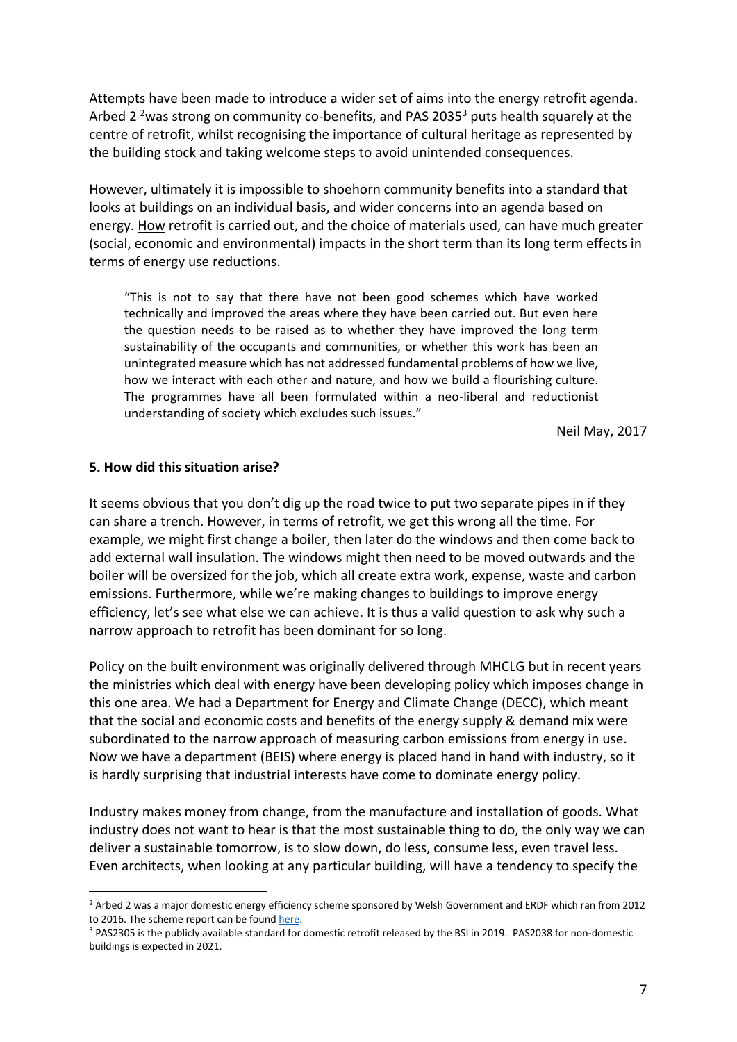Attempts have been made to introduce a wider set of aims into the energy retrofit agenda. Arbed 2<sup>2</sup> was strong on community co-benefits, and PAS 2035<sup>3</sup> puts health squarely at the centre of retrofit, whilst recognising the importance of cultural heritage as represented by the building stock and taking welcome steps to avoid unintended consequences.

However, ultimately it is impossible to shoehorn community benefits into a standard that looks at buildings on an individual basis, and wider concerns into an agenda based on energy. How retrofit is carried out, and the choice of materials used, can have much greater (social, economic and environmental) impacts in the short term than its long term effects in terms of energy use reductions.

"This is not to say that there have not been good schemes which have worked technically and improved the areas where they have been carried out. But even here the question needs to be raised as to whether they have improved the long term sustainability of the occupants and communities, or whether this work has been an unintegrated measure which has not addressed fundamental problems of how we live, how we interact with each other and nature, and how we build a flourishing culture. The programmes have all been formulated within a neo-liberal and reductionist understanding of society which excludes such issues."

Neil May, 2017

#### **5. How did this situation arise?**

It seems obvious that you don't dig up the road twice to put two separate pipes in if they can share a trench. However, in terms of retrofit, we get this wrong all the time. For example, we might first change a boiler, then later do the windows and then come back to add external wall insulation. The windows might then need to be moved outwards and the boiler will be oversized for the job, which all create extra work, expense, waste and carbon emissions. Furthermore, while we're making changes to buildings to improve energy efficiency, let's see what else we can achieve. It is thus a valid question to ask why such a narrow approach to retrofit has been dominant for so long.

Policy on the built environment was originally delivered through MHCLG but in recent years the ministries which deal with energy have been developing policy which imposes change in this one area. We had a Department for Energy and Climate Change (DECC), which meant that the social and economic costs and benefits of the energy supply & demand mix were subordinated to the narrow approach of measuring carbon emissions from energy in use. Now we have a department (BEIS) where energy is placed hand in hand with industry, so it is hardly surprising that industrial interests have come to dominate energy policy.

Industry makes money from change, from the manufacture and installation of goods. What industry does not want to hear is that the most sustainable thing to do, the only way we can deliver a sustainable tomorrow, is to slow down, do less, consume less, even travel less. Even architects, when looking at any particular building, will have a tendency to specify the

<sup>&</sup>lt;sup>2</sup> Arbed 2 was a major domestic energy efficiency scheme sponsored by Welsh Government and ERDF which ran from 2012 to 2016. The scheme report can be foun[d here.](https://stbauk.org/wp-content/uploads/2020/08/Ricardo-welsh-government-warm-homes-arbed-eu-project-final-report-en.pdf)

<sup>&</sup>lt;sup>3</sup> PAS2305 is the publicly available standard for domestic retrofit released by the BSI in 2019. PAS2038 for non-domestic buildings is expected in 2021.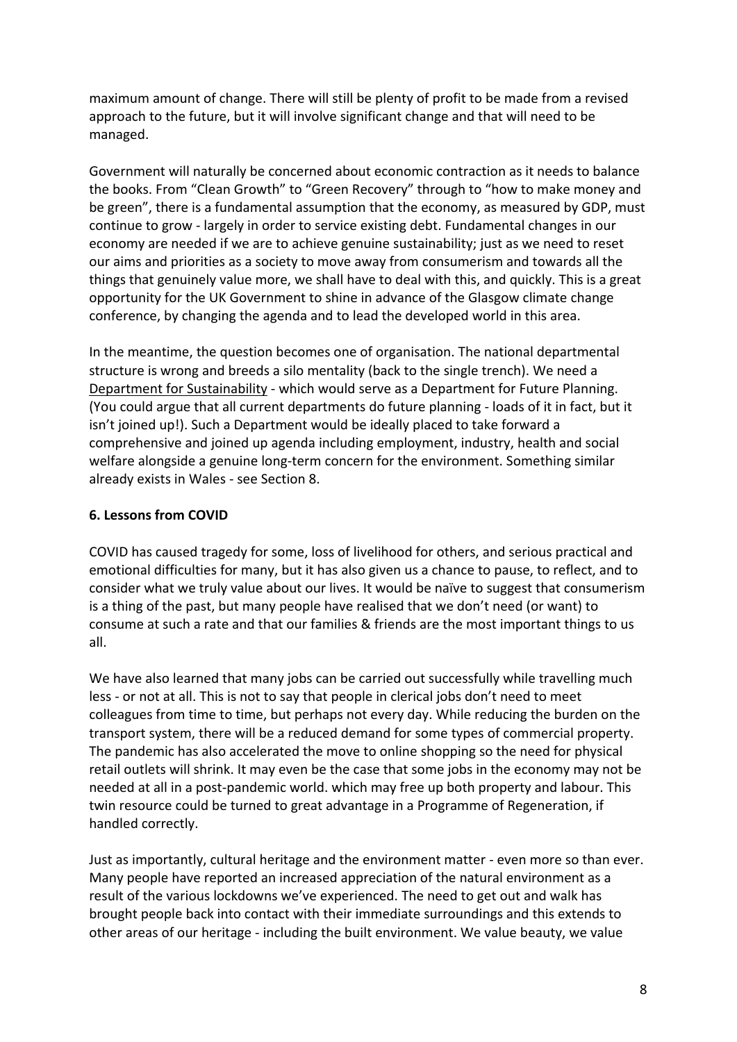maximum amount of change. There will still be plenty of profit to be made from a revised approach to the future, but it will involve significant change and that will need to be managed.

Government will naturally be concerned about economic contraction as it needs to balance the books. From "Clean Growth" to "Green Recovery" through to "how to make money and be green", there is a fundamental assumption that the economy, as measured by GDP, must continue to grow - largely in order to service existing debt. Fundamental changes in our economy are needed if we are to achieve genuine sustainability; just as we need to reset our aims and priorities as a society to move away from consumerism and towards all the things that genuinely value more, we shall have to deal with this, and quickly. This is a great opportunity for the UK Government to shine in advance of the Glasgow climate change conference, by changing the agenda and to lead the developed world in this area.

In the meantime, the question becomes one of organisation. The national departmental structure is wrong and breeds a silo mentality (back to the single trench). We need a Department for Sustainability - which would serve as a Department for Future Planning. (You could argue that all current departments do future planning - loads of it in fact, but it isn't joined up!). Such a Department would be ideally placed to take forward a comprehensive and joined up agenda including employment, industry, health and social welfare alongside a genuine long-term concern for the environment. Something similar already exists in Wales - see Section 8.

## **6. Lessons from COVID**

COVID has caused tragedy for some, loss of livelihood for others, and serious practical and emotional difficulties for many, but it has also given us a chance to pause, to reflect, and to consider what we truly value about our lives. It would be naïve to suggest that consumerism is a thing of the past, but many people have realised that we don't need (or want) to consume at such a rate and that our families & friends are the most important things to us all.

We have also learned that many jobs can be carried out successfully while travelling much less - or not at all. This is not to say that people in clerical jobs don't need to meet colleagues from time to time, but perhaps not every day. While reducing the burden on the transport system, there will be a reduced demand for some types of commercial property. The pandemic has also accelerated the move to online shopping so the need for physical retail outlets will shrink. It may even be the case that some jobs in the economy may not be needed at all in a post-pandemic world. which may free up both property and labour. This twin resource could be turned to great advantage in a Programme of Regeneration, if handled correctly.

Just as importantly, cultural heritage and the environment matter - even more so than ever. Many people have reported an increased appreciation of the natural environment as a result of the various lockdowns we've experienced. The need to get out and walk has brought people back into contact with their immediate surroundings and this extends to other areas of our heritage - including the built environment. We value beauty, we value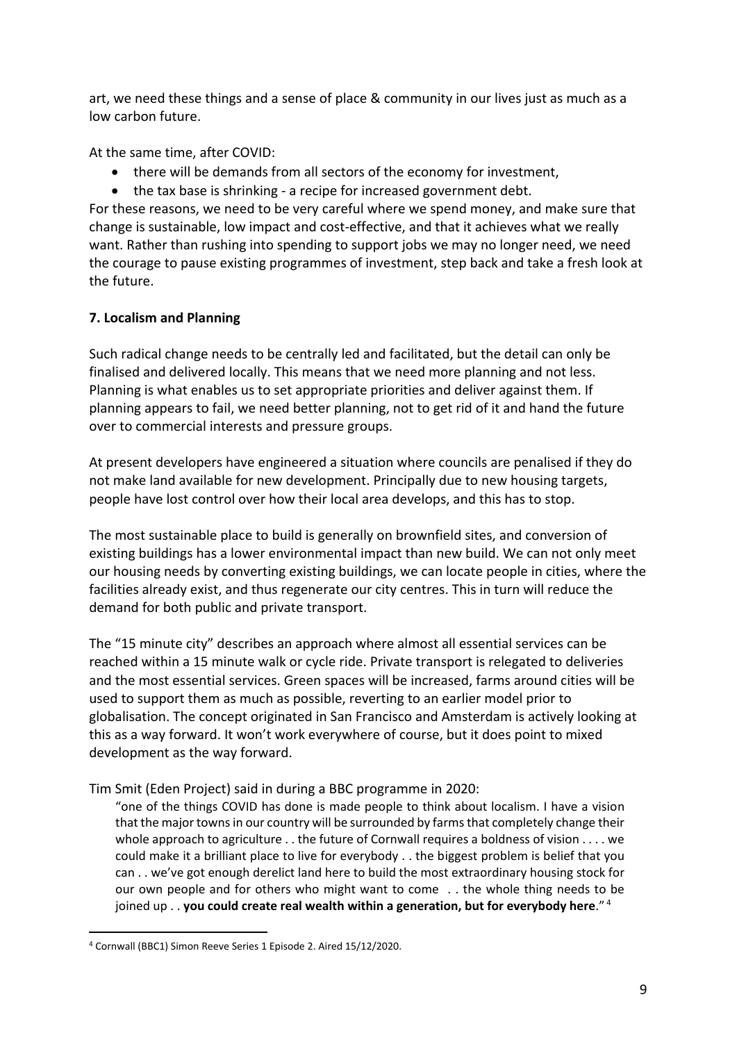art, we need these things and a sense of place & community in our lives just as much as a low carbon future.

At the same time, after COVID:

- there will be demands from all sectors of the economy for investment,
- the tax base is shrinking a recipe for increased government debt.

For these reasons, we need to be very careful where we spend money, and make sure that change is sustainable, low impact and cost-effective, and that it achieves what we really want. Rather than rushing into spending to support jobs we may no longer need, we need the courage to pause existing programmes of investment, step back and take a fresh look at the future.

# **7. Localism and Planning**

Such radical change needs to be centrally led and facilitated, but the detail can only be finalised and delivered locally. This means that we need more planning and not less. Planning is what enables us to set appropriate priorities and deliver against them. If planning appears to fail, we need better planning, not to get rid of it and hand the future over to commercial interests and pressure groups.

At present developers have engineered a situation where councils are penalised if they do not make land available for new development. Principally due to new housing targets, people have lost control over how their local area develops, and this has to stop.

The most sustainable place to build is generally on brownfield sites, and conversion of existing buildings has a lower environmental impact than new build. We can not only meet our housing needs by converting existing buildings, we can locate people in cities, where the facilities already exist, and thus regenerate our city centres. This in turn will reduce the demand for both public and private transport.

The "15 minute city" describes an approach where almost all essential services can be reached within a 15 minute walk or cycle ride. Private transport is relegated to deliveries and the most essential services. Green spaces will be increased, farms around cities will be used to support them as much as possible, reverting to an earlier model prior to globalisation. The concept originated in San Francisco and Amsterdam is actively looking at this as a way forward. It won't work everywhere of course, but it does point to mixed development as the way forward.

### Tim Smit (Eden Project) said in during a BBC programme in 2020:

"one of the things COVID has done is made people to think about localism. I have a vision that the major towns in our country will be surrounded by farms that completely change their whole approach to agriculture . . the future of Cornwall requires a boldness of vision . . . . we could make it a brilliant place to live for everybody . . the biggest problem is belief that you can . . we've got enough derelict land here to build the most extraordinary housing stock for our own people and for others who might want to come . . the whole thing needs to be joined up . . **you could create real wealth within a generation, but for everybody here**." <sup>4</sup>

<sup>4</sup> Cornwall (BBC1) Simon Reeve Series 1 Episode 2. Aired 15/12/2020.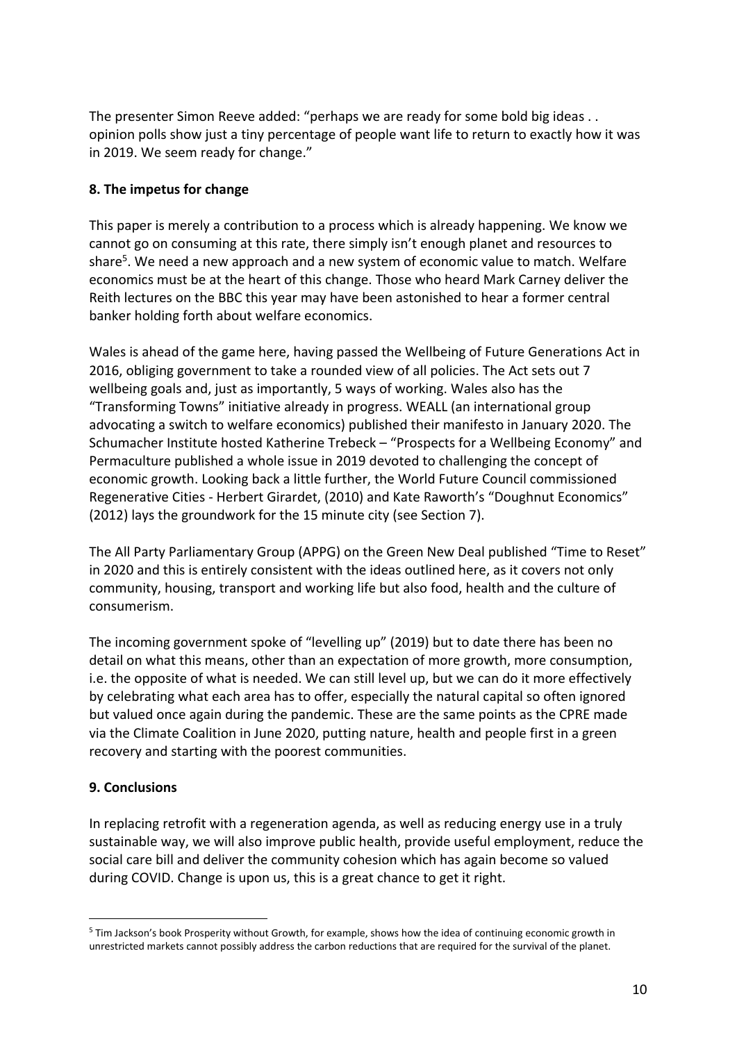The presenter Simon Reeve added: "perhaps we are ready for some bold big ideas . . opinion polls show just a tiny percentage of people want life to return to exactly how it was in 2019. We seem ready for change."

## **8. The impetus for change**

This paper is merely a contribution to a process which is already happening. We know we cannot go on consuming at this rate, there simply isn't enough planet and resources to share<sup>5</sup>. We need a new approach and a new system of economic value to match. Welfare economics must be at the heart of this change. Those who heard Mark Carney deliver the Reith lectures on the BBC this year may have been astonished to hear a former central banker holding forth about welfare economics.

Wales is ahead of the game here, having passed the Wellbeing of Future Generations Act in 2016, obliging government to take a rounded view of all policies. The Act sets out 7 wellbeing goals and, just as importantly, 5 ways of working. Wales also has the "Transforming Towns" initiative already in progress. WEALL (an international group advocating a switch to welfare economics) published their manifesto in January 2020. The Schumacher Institute hosted Katherine Trebeck – "Prospects for a Wellbeing Economy" and Permaculture published a whole issue in 2019 devoted to challenging the concept of economic growth. Looking back a little further, the World Future Council commissioned Regenerative Cities - Herbert Girardet, (2010) and Kate Raworth's "Doughnut Economics" (2012) lays the groundwork for the 15 minute city (see Section 7).

The All Party Parliamentary Group (APPG) on the Green New Deal published "Time to Reset" in 2020 and this is entirely consistent with the ideas outlined here, as it covers not only community, housing, transport and working life but also food, health and the culture of consumerism.

The incoming government spoke of "levelling up" (2019) but to date there has been no detail on what this means, other than an expectation of more growth, more consumption, i.e. the opposite of what is needed. We can still level up, but we can do it more effectively by celebrating what each area has to offer, especially the natural capital so often ignored but valued once again during the pandemic. These are the same points as the CPRE made via the Climate Coalition in June 2020, putting nature, health and people first in a green recovery and starting with the poorest communities.

### **9. Conclusions**

In replacing retrofit with a regeneration agenda, as well as reducing energy use in a truly sustainable way, we will also improve public health, provide useful employment, reduce the social care bill and deliver the community cohesion which has again become so valued during COVID. Change is upon us, this is a great chance to get it right.

<sup>&</sup>lt;sup>5</sup> Tim Jackson's book Prosperity without Growth, for example, shows how the idea of continuing economic growth in unrestricted markets cannot possibly address the carbon reductions that are required for the survival of the planet.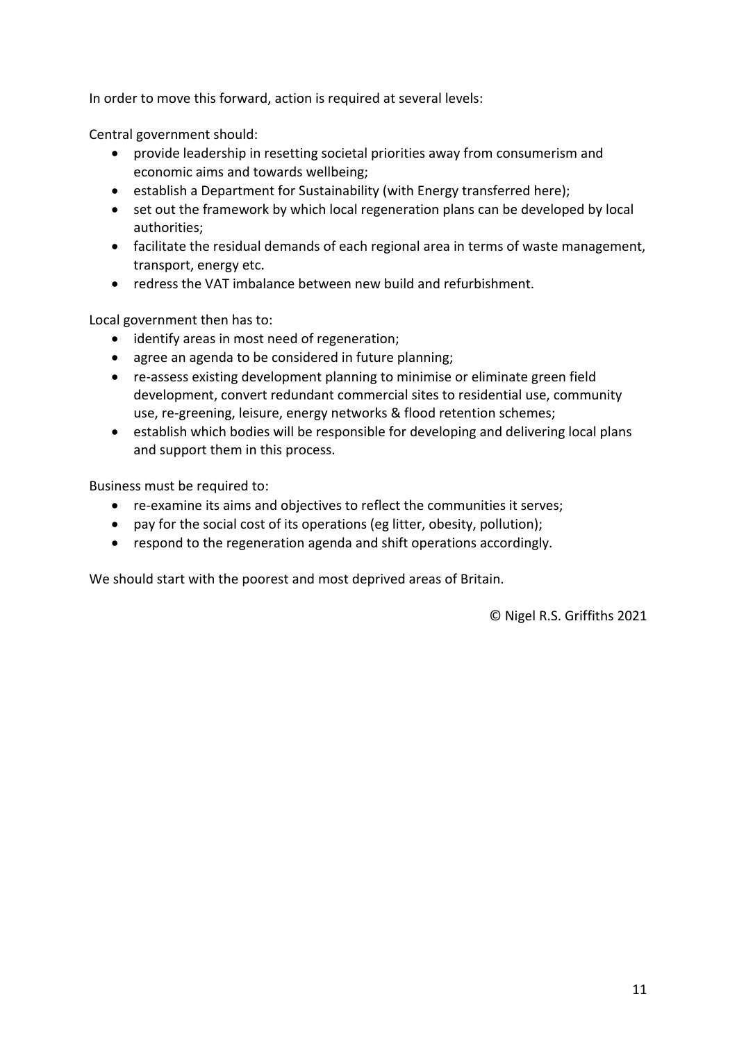In order to move this forward, action is required at several levels:

Central government should:

- provide leadership in resetting societal priorities away from consumerism and economic aims and towards wellbeing;
- establish a Department for Sustainability (with Energy transferred here);
- set out the framework by which local regeneration plans can be developed by local authorities;
- facilitate the residual demands of each regional area in terms of waste management, transport, energy etc.
- redress the VAT imbalance between new build and refurbishment.

Local government then has to:

- identify areas in most need of regeneration;
- agree an agenda to be considered in future planning;
- re-assess existing development planning to minimise or eliminate green field development, convert redundant commercial sites to residential use, community use, re-greening, leisure, energy networks & flood retention schemes;
- establish which bodies will be responsible for developing and delivering local plans and support them in this process.

Business must be required to:

- re-examine its aims and objectives to reflect the communities it serves;
- pay for the social cost of its operations (eg litter, obesity, pollution);
- respond to the regeneration agenda and shift operations accordingly.

We should start with the poorest and most deprived areas of Britain.

© Nigel R.S. Griffiths 2021